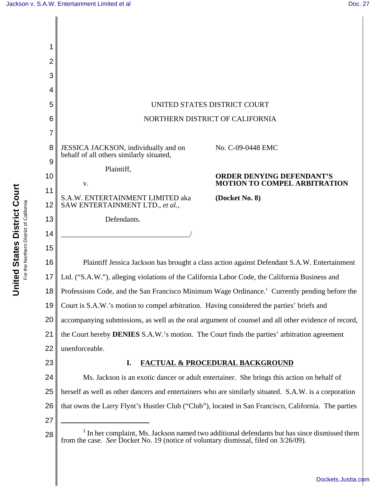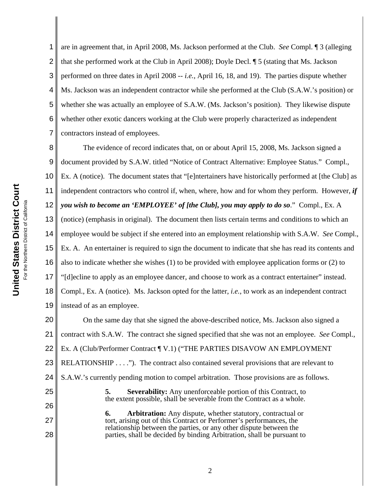28

1 2 3 4 5 6 7 are in agreement that, in April 2008, Ms. Jackson performed at the Club. *See* Compl. ¶ 3 (alleging that she performed work at the Club in April 2008); Doyle Decl. ¶ 5 (stating that Ms. Jackson performed on three dates in April 2008 -- *i.e.*, April 16, 18, and 19). The parties dispute whether Ms. Jackson was an independent contractor while she performed at the Club (S.A.W.'s position) or whether she was actually an employee of S.A.W. (Ms. Jackson's position). They likewise dispute whether other exotic dancers working at the Club were properly characterized as independent contractors instead of employees.

8 9 10 11 12 13 14 15 16 17 18 19 The evidence of record indicates that, on or about April 15, 2008, Ms. Jackson signed a document provided by S.A.W. titled "Notice of Contract Alternative: Employee Status." Compl., Ex. A (notice). The document states that "[e]ntertainers have historically performed at [the Club] as independent contractors who control if, when, where, how and for whom they perform. However, *if you wish to become an 'EMPLOYEE' of [the Club], you may apply to do so*." Compl., Ex. A (notice) (emphasis in original). The document then lists certain terms and conditions to which an employee would be subject if she entered into an employment relationship with S.A.W. *See* Compl., Ex. A. An entertainer is required to sign the document to indicate that she has read its contents and also to indicate whether she wishes (1) to be provided with employee application forms or (2) to "[d]ecline to apply as an employee dancer, and choose to work as a contract entertainer" instead. Compl., Ex. A (notice). Ms. Jackson opted for the latter, *i.e.*, to work as an independent contract instead of as an employee.

20 21 22 23 24 25 26 27 On the same day that she signed the above-described notice, Ms. Jackson also signed a contract with S.A.W. The contract she signed specified that she was not an employee. *See* Compl., Ex. A (Club/Performer Contract ¶ V.1) ("THE PARTIES DISAVOW AN EMPLOYMENT RELATIONSHIP . . . ."). The contract also contained several provisions that are relevant to S.A.W.'s currently pending motion to compel arbitration. Those provisions are as follows. **5. Severability:** Any unenforceable portion of this Contract, to the extent possible, shall be severable from the Contract as a whole. **6. Arbitration:** Any dispute, whether statutory, contractual or

tort, arising out of this Contract or Performer's performances, the relationship between the parties, or any other dispute between the parties, shall be decided by binding Arbitration, shall be pursuant to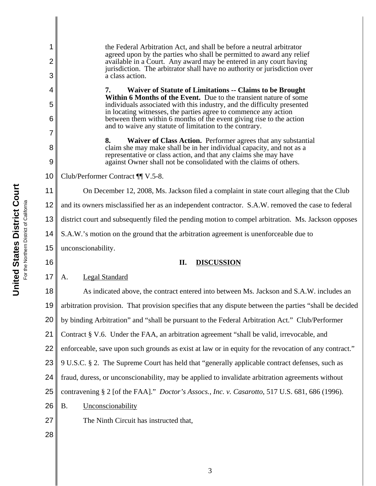| 1      | the Federal Arbitration Act, and shall be before a neutral arbitrator                                                                                                                                                                       |
|--------|---------------------------------------------------------------------------------------------------------------------------------------------------------------------------------------------------------------------------------------------|
| 2<br>3 | agreed upon by the parties who shall be permitted to award any relief<br>available in a Court. Any award may be entered in any court having<br>jurisdiction. The arbitrator shall have no authority or jurisdiction over<br>a class action. |
|        |                                                                                                                                                                                                                                             |
| 4<br>5 | Waiver of Statute of Limitations -- Claims to be Brought<br>7.<br>Within 6 Months of the Event. Due to the transient nature of some<br>individuals associated with this industry, and the difficulty presented                              |
| 6      | in locating witnesses, the parties agree to commence any action<br>between them within 6 months of the event giving rise to the action<br>and to waive any statute of limitation to the contrary.                                           |
| 7      | Waiver of Class Action. Performer agrees that any substantial<br>8.                                                                                                                                                                         |
| 8<br>9 | claim she may make shall be in her individual capacity, and not as a<br>representative or class action, and that any claims she may have<br>against Owner shall not be consolidated with the claims of others.                              |
| 10     | Club/Performer Contract ¶¶ V.5-8.                                                                                                                                                                                                           |
| 11     | On December 12, 2008, Ms. Jackson filed a complaint in state court alleging that the Club                                                                                                                                                   |
| 12     | and its owners misclassified her as an independent contractor. S.A.W. removed the case to federal                                                                                                                                           |
| 13     | district court and subsequently filed the pending motion to compel arbitration. Ms. Jackson opposes                                                                                                                                         |
| 14     | S.A.W.'s motion on the ground that the arbitration agreement is unenforceable due to                                                                                                                                                        |
| 15     | unconscionability.                                                                                                                                                                                                                          |
|        |                                                                                                                                                                                                                                             |
| 16     | П.<br><b>DISCUSSION</b>                                                                                                                                                                                                                     |
| 17     | <b>Legal Standard</b><br>А.                                                                                                                                                                                                                 |
| 18     | As indicated above, the contract entered into between Ms. Jackson and S.A.W. includes an                                                                                                                                                    |
| 19     | arbitration provision. That provision specifies that any dispute between the parties "shall be decided                                                                                                                                      |
| 20     | by binding Arbitration" and "shall be pursuant to the Federal Arbitration Act." Club/Performer                                                                                                                                              |
| 21     | Contract § V.6. Under the FAA, an arbitration agreement "shall be valid, irrevocable, and                                                                                                                                                   |
| 22     | enforceable, save upon such grounds as exist at law or in equity for the revocation of any contract."                                                                                                                                       |
| 23     | 9 U.S.C. § 2. The Supreme Court has held that "generally applicable contract defenses, such as                                                                                                                                              |
| 24     | fraud, duress, or unconscionability, may be applied to invalidate arbitration agreements without                                                                                                                                            |
| 25     | contravening § 2 [of the FAA]." Doctor's Assocs., Inc. v. Casarotto, 517 U.S. 681, 686 (1996).                                                                                                                                              |
| 26     | <b>B.</b><br>Unconscionability                                                                                                                                                                                                              |
| 27     | The Ninth Circuit has instructed that,                                                                                                                                                                                                      |
| 28     |                                                                                                                                                                                                                                             |

 $\parallel$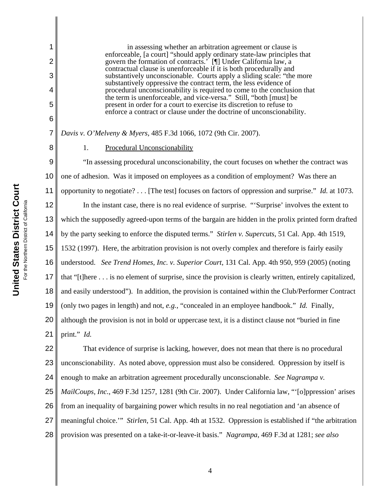1

2

3

4

5

6

7

8

in assessing whether an arbitration agreement or clause is enforceable, [a court] "should apply ordinary state-law principles that govern the formation of contracts.' [¶] Under California law, a contractual clause is unenforceable if it is both procedurally and substantively unconscionable. Courts apply a sliding scale: "the more substantively oppressive the contract term, the less evidence of procedural unconscionability is required to come to the conclusion that the term is unenforceable, and vice-versa." Still, "both [must] be present in order for a court to exercise its discretion to refuse to enforce a contract or clause under the doctrine of unconscionability.

*Davis v. O'Melveny & Myers*, 485 F.3d 1066, 1072 (9th Cir. 2007).

## 1. Procedural Unconscionability

9 10 11 12 13 14 15 16 17 18 19 20 21 "In assessing procedural unconscionability, the court focuses on whether the contract was one of adhesion. Was it imposed on employees as a condition of employment? Was there an opportunity to negotiate? . . . [The test] focuses on factors of oppression and surprise." *Id.* at 1073. In the instant case, there is no real evidence of surprise. "'Surprise' involves the extent to which the supposedly agreed-upon terms of the bargain are hidden in the prolix printed form drafted by the party seeking to enforce the disputed terms." *Stirlen v. Supercuts*, 51 Cal. App. 4th 1519, 1532 (1997). Here, the arbitration provision is not overly complex and therefore is fairly easily understood. *See Trend Homes, Inc. v. Superior Court*, 131 Cal. App. 4th 950, 959 (2005) (noting that "[t]here . . . is no element of surprise, since the provision is clearly written, entirely capitalized, and easily understood"). In addition, the provision is contained within the Club/Performer Contract (only two pages in length) and not, *e.g.*, "concealed in an employee handbook." *Id.* Finally, although the provision is not in bold or uppercase text, it is a distinct clause not "buried in fine print." *Id.*

22 23 24 25 26 27 28 That evidence of surprise is lacking, however, does not mean that there is no procedural unconscionability. As noted above, oppression must also be considered. Oppression by itself is enough to make an arbitration agreement procedurally unconscionable. *See Nagrampa v. MailCoups, Inc.*, 469 F.3d 1257, 1281 (9th Cir. 2007). Under California law, "'[o]ppression' arises from an inequality of bargaining power which results in no real negotiation and 'an absence of meaningful choice.'" *Stirlen*, 51 Cal. App. 4th at 1532. Oppression is established if "the arbitration provision was presented on a take-it-or-leave-it basis." *Nagrampa*, 469 F.3d at 1281; *see also*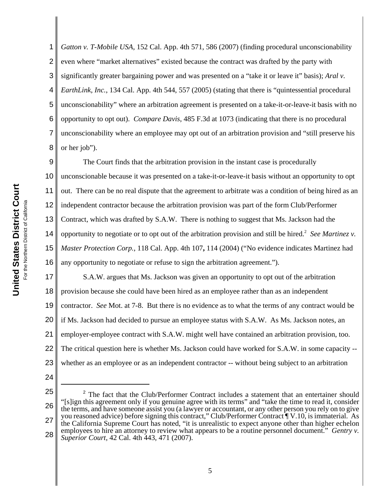1 2 3 4 5 6 7 8 *Gatton v. T-Mobile USA*, 152 Cal. App. 4th 571, 586 (2007) (finding procedural unconscionability even where "market alternatives" existed because the contract was drafted by the party with significantly greater bargaining power and was presented on a "take it or leave it" basis); *Aral v. EarthLink, Inc.*, 134 Cal. App. 4th 544, 557 (2005) (stating that there is "quintessential procedural unconscionability" where an arbitration agreement is presented on a take-it-or-leave-it basis with no opportunity to opt out). *Compare Davis*, 485 F.3d at 1073 (indicating that there is no procedural unconscionability where an employee may opt out of an arbitration provision and "still preserve his or her job").

9 10 11 12 13 14 15 16 The Court finds that the arbitration provision in the instant case is procedurally unconscionable because it was presented on a take-it-or-leave-it basis without an opportunity to opt out. There can be no real dispute that the agreement to arbitrate was a condition of being hired as an independent contractor because the arbitration provision was part of the form Club/Performer Contract, which was drafted by S.A.W. There is nothing to suggest that Ms. Jackson had the opportunity to negotiate or to opt out of the arbitration provision and still be hired.<sup>2</sup> See Martinez v. *Master Protection Corp.*, 118 Cal. App. 4th 107**,** 114 (2004) ("No evidence indicates Martinez had any opportunity to negotiate or refuse to sign the arbitration agreement.").

17 18 19 20 21 22 23 S.A.W. argues that Ms. Jackson was given an opportunity to opt out of the arbitration provision because she could have been hired as an employee rather than as an independent contractor. *See* Mot. at 7-8. But there is no evidence as to what the terms of any contract would be if Ms. Jackson had decided to pursue an employee status with S.A.W. As Ms. Jackson notes, an employer-employee contract with S.A.W. might well have contained an arbitration provision, too. The critical question here is whether Ms. Jackson could have worked for S.A.W. in some capacity - whether as an employee or as an independent contractor -- without being subject to an arbitration

- 24
- 25 26 27 28 <sup>2</sup> The fact that the Club/Performer Contract includes a statement that an entertainer should "[s]ign this agreement only if you genuine agree with its terms" and "take the time to read it, consider the terms, and have someone assist you (a lawyer or accountant, or any other person you rely on to give you reasoned advice) before signing this contract," Club/Performer Contract ¶ V.10, is immaterial. As the California Supreme Court has noted, "it is unrealistic to expect anyone other than higher echelon employees to hire an attorney to review what appears to be a routine personnel document." *Gentry v. Superior Court*, 42 Cal. 4th 443, 471 (2007).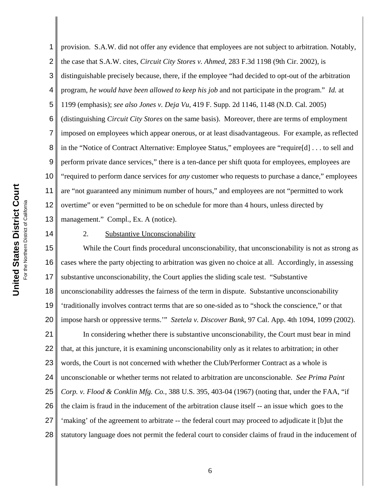4 5 6 7 8 9 10 United States District Court **United States District Court** 11 For the Northern District of California For the Northern District of California 12 13 14 15 16 17

1

2 3 provision. S.A.W. did not offer any evidence that employees are not subject to arbitration. Notably, the case that S.A.W. cites, *Circuit City Stores v. Ahmed*, 283 F.3d 1198 (9th Cir. 2002), is distinguishable precisely because, there, if the employee "had decided to opt-out of the arbitration program, *he would have been allowed to keep his job* and not participate in the program." *Id.* at 1199 (emphasis); *see also Jones v. Deja Vu*, 419 F. Supp. 2d 1146, 1148 (N.D. Cal. 2005) (distinguishing *Circuit City Stores* on the same basis). Moreover, there are terms of employment imposed on employees which appear onerous, or at least disadvantageous. For example, as reflected in the "Notice of Contract Alternative: Employee Status," employees are "require[d] . . . to sell and perform private dance services," there is a ten-dance per shift quota for employees, employees are "required to perform dance services for *any* customer who requests to purchase a dance," employees are "not guaranteed any minimum number of hours," and employees are not "permitted to work overtime" or even "permitted to be on schedule for more than 4 hours, unless directed by management." Compl., Ex. A (notice).

2. Substantive Unconscionability

18 19 20 21 22 23 24 25 26 27 28 While the Court finds procedural unconscionability, that unconscionability is not as strong as cases where the party objecting to arbitration was given no choice at all. Accordingly, in assessing substantive unconscionability, the Court applies the sliding scale test. "Substantive unconscionability addresses the fairness of the term in dispute. Substantive unconscionability 'traditionally involves contract terms that are so one-sided as to "shock the conscience," or that impose harsh or oppressive terms.'" *Szetela v. Discover Bank*, 97 Cal. App. 4th 1094, 1099 (2002). In considering whether there is substantive unconscionability, the Court must bear in mind that, at this juncture, it is examining unconscionability only as it relates to arbitration; in other words, the Court is not concerned with whether the Club/Performer Contract as a whole is unconscionable or whether terms not related to arbitration are unconscionable. *See Prima Paint Corp. v. Flood & Conklin Mfg. Co.,* 388 U.S. 395, 403-04 (1967) (noting that, under the FAA, "if the claim is fraud in the inducement of the arbitration clause itself -- an issue which goes to the 'making' of the agreement to arbitrate -- the federal court may proceed to adjudicate it [b]ut the statutory language does not permit the federal court to consider claims of fraud in the inducement of

6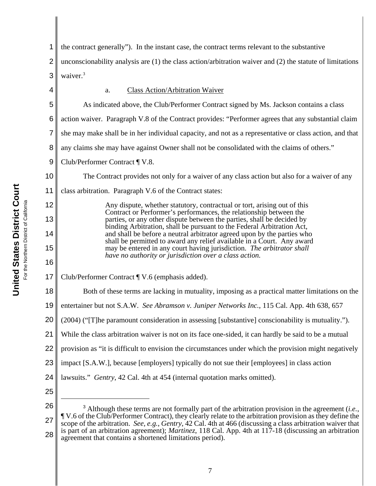1 2 3 4 5 6 7 8 9 10 11 12 13 14 15 16 17 18 19 20 21 22 23 24 25 26 27 28 <sup>3</sup> Although these terms are not formally part of the arbitration provision in the agreement (*i.e.*, Although these terms are not formally part of the arbitration provision in the agreement (*i.e.*, ¶ V.6 of the Club/Performer Contract), they clearly relate to the arbitration provision as they define the scope of the arbitration. *See, e.g.*, *Gentry*, 42 Cal. 4th at 466 (discussing a class arbitration waiver that is part of an arbitration agreement); *Martinez*, 118 Cal. App. 4th at 117-18 (discussing an arbitration agreement that contains a shortened limitations period). the contract generally"). In the instant case, the contract terms relevant to the substantive unconscionability analysis are (1) the class action/arbitration waiver and (2) the statute of limitations waiver.<sup>3</sup> a. Class Action/Arbitration Waiver As indicated above, the Club/Performer Contract signed by Ms. Jackson contains a class action waiver. Paragraph V.8 of the Contract provides: "Performer agrees that any substantial claim she may make shall be in her individual capacity, and not as a representative or class action, and that any claims she may have against Owner shall not be consolidated with the claims of others." Club/Performer Contract ¶ V.8. The Contract provides not only for a waiver of any class action but also for a waiver of any class arbitration. Paragraph V.6 of the Contract states: Any dispute, whether statutory, contractual or tort, arising out of this Contract or Performer's performances, the relationship between the parties, or any other dispute between the parties, shall be decided by binding Arbitration, shall be pursuant to the Federal Arbitration Act, and shall be before a neutral arbitrator agreed upon by the parties who shall be permitted to award any relief available in a Court. Any award may be entered in any court having jurisdiction. *The arbitrator shall have no authority or jurisdiction over a class action.* Club/Performer Contract ¶ V.6 (emphasis added). Both of these terms are lacking in mutuality, imposing as a practical matter limitations on the entertainer but not S.A.W. *See Abramson v. Juniper Networks Inc.*, 115 Cal. App. 4th 638, 657 (2004) ("[T]he paramount consideration in assessing [substantive] conscionability is mutuality."). While the class arbitration waiver is not on its face one-sided, it can hardly be said to be a mutual provision as "it is difficult to envision the circumstances under which the provision might negatively impact [S.A.W.], because [employers] typically do not sue their [employees] in class action lawsuits." *Gentry*, 42 Cal. 4th at 454 (internal quotation marks omitted).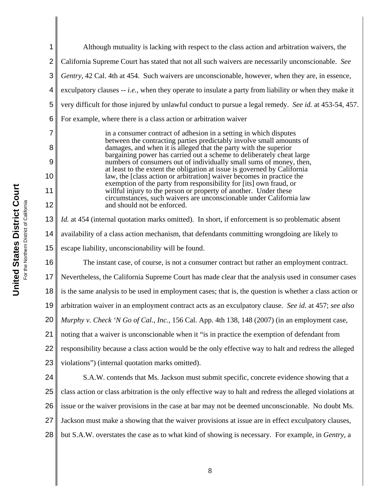1 2 3 4 5 6 7 8 9 10 11 12 13 14 15 16 17 18 19 20 21 22 23 24 25 26 27 28 Although mutuality is lacking with respect to the class action and arbitration waivers, the California Supreme Court has stated that not all such waivers are necessarily unconscionable. *See Gentry*, 42 Cal. 4th at 454. Such waivers are unconscionable, however, when they are, in essence, exculpatory clauses -- *i.e.*, when they operate to insulate a party from liability or when they make it very difficult for those injured by unlawful conduct to pursue a legal remedy. *See id.* at 453-54, 457. For example, where there is a class action or arbitration waiver in a consumer contract of adhesion in a setting in which disputes between the contracting parties predictably involve small amounts of damages, and when it is alleged that the party with the superior bargaining power has carried out a scheme to deliberately cheat large numbers of consumers out of individually small sums of money, then, at least to the extent the obligation at issue is governed by California law, the [class action or arbitration] waiver becomes in practice the exemption of the party from responsibility for [its] own fraud, or willful injury to the person or property of another. Under these circumstances, such waivers are unconscionable under California law and should not be enforced. *Id.* at 454 (internal quotation marks omitted). In short, if enforcement is so problematic absent availability of a class action mechanism, that defendants committing wrongdoing are likely to escape liability, unconscionability will be found. The instant case, of course, is not a consumer contract but rather an employment contract. Nevertheless, the California Supreme Court has made clear that the analysis used in consumer cases is the same analysis to be used in employment cases; that is, the question is whether a class action or arbitration waiver in an employment contract acts as an exculpatory clause. *See id.* at 457; *see also Murphy v. Check 'N Go of Cal., Inc.*, 156 Cal. App. 4th 138, 148 (2007) (in an employment case, noting that a waiver is unconscionable when it "is in practice the exemption of defendant from responsibility because a class action would be the only effective way to halt and redress the alleged violations") (internal quotation marks omitted). S.A.W. contends that Ms. Jackson must submit specific, concrete evidence showing that a class action or class arbitration is the only effective way to halt and redress the alleged violations at issue or the waiver provisions in the case at bar may not be deemed unconscionable. No doubt Ms. Jackson must make a showing that the waiver provisions at issue are in effect exculpatory clauses, but S.A.W. overstates the case as to what kind of showing is necessary. For example, in *Gentry*, a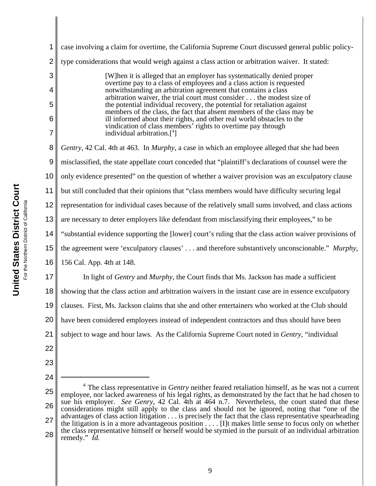| 1              | case involving a claim for overtime, the California Supreme Court discussed general public policy-                                                                                                                     |
|----------------|------------------------------------------------------------------------------------------------------------------------------------------------------------------------------------------------------------------------|
| $\overline{2}$ | type considerations that would weigh against a class action or arbitration waiver. It stated:                                                                                                                          |
| 3              | [W] hen it is alleged that an employer has systematically denied proper<br>overtime pay to a class of employees and a class action is requested                                                                        |
| 4              | notwithstanding an arbitration agreement that contains a class<br>arbitration waiver, the trial court must consider the modest size of                                                                                 |
| 5              | the potential individual recovery, the potential for retaliation against<br>members of the class, the fact that absent members of the class may be                                                                     |
| 6              | ill informed about their rights, and other real world obstacles to the<br>vindication of class members' rights to overtime pay through                                                                                 |
| 7              | individual arbitration. <sup>[4]</sup>                                                                                                                                                                                 |
| 8              | Gentry, 42 Cal. 4th at 463. In Murphy, a case in which an employee alleged that she had been                                                                                                                           |
| 9              | misclassified, the state appellate court conceded that "plaintiff's declarations of counsel were the                                                                                                                   |
| 10             | only evidence presented" on the question of whether a waiver provision was an exculpatory clause                                                                                                                       |
| 11             | but still concluded that their opinions that "class members would have difficulty securing legal                                                                                                                       |
| 12             | representation for individual cases because of the relatively small sums involved, and class actions                                                                                                                   |
| 13             | are necessary to deter employers like defendant from misclassifying their employees," to be                                                                                                                            |
| 14             | "substantial evidence supporting the [lower] court's ruling that the class action waiver provisions of                                                                                                                 |
| 15             | the agreement were 'exculpatory clauses' and therefore substantively unconscionable." Murphy,                                                                                                                          |
| 16             | 156 Cal. App. 4th at 148.                                                                                                                                                                                              |
| 17             | In light of <i>Gentry</i> and <i>Murphy</i> , the Court finds that Ms. Jackson has made a sufficient                                                                                                                   |
| 18             | showing that the class action and arbitration waivers in the instant case are in essence exculpatory                                                                                                                   |
| 19             | clauses. First, Ms. Jackson claims that she and other entertainers who worked at the Club should                                                                                                                       |
| 20             | have been considered employees instead of independent contractors and thus should have been                                                                                                                            |
| 21             | subject to wage and hour laws. As the California Supreme Court noted in <i>Gentry</i> , "individual                                                                                                                    |
| 22             |                                                                                                                                                                                                                        |
| 23             |                                                                                                                                                                                                                        |
| 24             |                                                                                                                                                                                                                        |
| 25             | $4$ The class representative in <i>Gentry</i> neither feared retaliation himself, as he was not a current<br>employee, nor lacked awareness of his legal rights, as demonstrated by the fact that he had chosen to     |
| 26             | sue his employer. See Genry, 42 Cal. 4th at 464 n.7. Nevertheless, the court stated that these<br>considerations might still apply to the class and should not be ignored, noting that "one of the                     |
| 27             | advantages of class action litigation is precisely the fact that the class representative spearheading<br>the litigation is in a more advantageous position $\dots$ . [I]t makes little sense to focus only on whether |
| 28             | the class representative himself or herself would be stymied in the pursuit of an individual arbitration<br>remedy." <i>Id.</i>                                                                                        |
|                |                                                                                                                                                                                                                        |

United States District Court **United States District Court** For the Northern District of California For the Northern District of California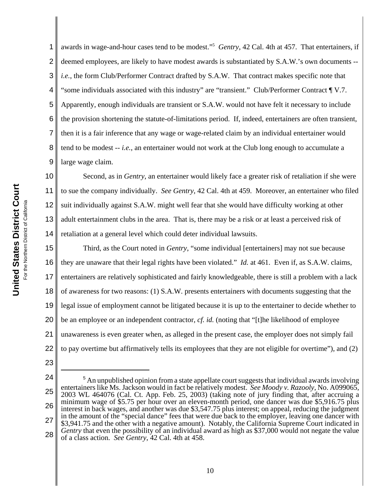1 2 3 4 5 6 awards in wage-and-hour cases tend to be modest."5 *Gentry*, 42 Cal. 4th at 457. That entertainers, if deemed employees, are likely to have modest awards is substantiated by S.A.W.'s own documents - *i.e.*, the form Club/Performer Contract drafted by S.A.W. That contract makes specific note that "some individuals associated with this industry" are "transient." Club/Performer Contract ¶ V.7. Apparently, enough individuals are transient or S.A.W. would not have felt it necessary to include the provision shortening the statute-of-limitations period. If, indeed, entertainers are often transient, then it is a fair inference that any wage or wage-related claim by an individual entertainer would tend to be modest -- *i.e.*, an entertainer would not work at the Club long enough to accumulate a large wage claim.

Second, as in *Gentry*, an entertainer would likely face a greater risk of retaliation if she were to sue the company individually. *See Gentry*, 42 Cal. 4th at 459. Moreover, an entertainer who filed suit individually against S.A.W. might well fear that she would have difficulty working at other adult entertainment clubs in the area. That is, there may be a risk or at least a perceived risk of retaliation at a general level which could deter individual lawsuits.

17 18 19 20 21 22 Third, as the Court noted in *Gentry*, "some individual [entertainers] may not sue because they are unaware that their legal rights have been violated." *Id.* at 461. Even if, as S.A.W. claims, entertainers are relatively sophisticated and fairly knowledgeable, there is still a problem with a lack of awareness for two reasons: (1) S.A.W. presents entertainers with documents suggesting that the legal issue of employment cannot be litigated because it is up to the entertainer to decide whether to be an employee or an independent contractor, *cf. id.* (noting that "[t]he likelihood of employee unawareness is even greater when, as alleged in the present case, the employer does not simply fail to pay overtime but affirmatively tells its employees that they are not eligible for overtime"), and (2)

- 23
- 24
- 25

<sup>26</sup> 27 28 <sup>5</sup> An unpublished opinion from a state appellate court suggests that individual awards involving entertainers like Ms. Jackson would in fact be relatively modest. *See Moody v. Razooly*, No. A099065, 2003 WL 464076 (Cal. Ct. App. Feb. 25, 2003) (taking note of jury finding that, after accruing a minimum wage of \$5.75 per hour over an eleven-month period, one dancer was due \$5,916.75 plus interest in back wages, and another was due \$3,547.75 plus interest; on appeal, reducing the judgment in the amount of the "special dance" fees that were due back to the employer, leaving one dancer with \$3,941.75 and the other with a negative amount). Notably, the California Supreme Court indicated in *Gentry* that even the possibility of an individual award as high as \$37,000 would not negate the value of a class action. *See Gentry*, 42 Cal. 4th at 458.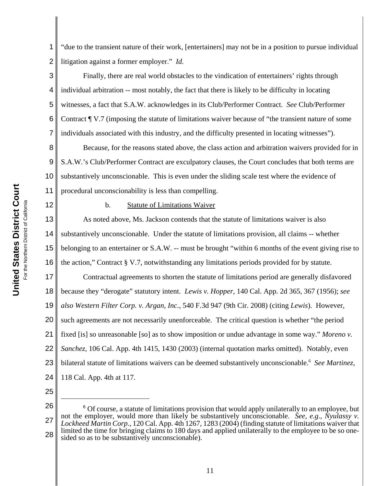United States District Court **United States District Court** For the Northern District of California the Northern District of California

12

1 2 "due to the transient nature of their work, [entertainers] may not be in a position to pursue individual litigation against a former employer." *Id.*

3 4 5 6 7 Finally, there are real world obstacles to the vindication of entertainers' rights through individual arbitration -- most notably, the fact that there is likely to be difficulty in locating witnesses, a fact that S.A.W. acknowledges in its Club/Performer Contract. *See* Club/Performer Contract ¶ V.7 (imposing the statute of limitations waiver because of "the transient nature of some individuals associated with this industry, and the difficulty presented in locating witnesses").

8 9 10 11 Because, for the reasons stated above, the class action and arbitration waivers provided for in S.A.W.'s Club/Performer Contract are exculpatory clauses, the Court concludes that both terms are substantively unconscionable. This is even under the sliding scale test where the evidence of procedural unconscionability is less than compelling.

## b. Statute of Limitations Waiver

13 14 15 16 As noted above, Ms. Jackson contends that the statute of limitations waiver is also substantively unconscionable. Under the statute of limitations provision, all claims -- whether belonging to an entertainer or S.A.W. -- must be brought "within 6 months of the event giving rise to the action," Contract § V.7, notwithstanding any limitations periods provided for by statute.

17 18 19 20 21 22 23 24 Contractual agreements to shorten the statute of limitations period are generally disfavored because they "derogate" statutory intent. *Lewis v. Hopper*, 140 Cal. App. 2d 365, 367 (1956); *see also Western Filter Corp. v. Argan, Inc.*, 540 F.3d 947 (9th Cir. 2008) (citing *Lewis*). However, such agreements are not necessarily unenforceable. The critical question is whether "the period fixed [is] so unreasonable [so] as to show imposition or undue advantage in some way." *Moreno v. Sanchez*, 106 Cal. App. 4th 1415, 1430 (2003) (internal quotation marks omitted). Notably, even bilateral statute of limitations waivers can be deemed substantively unconscionable.6 *See Martinez*, 118 Cal. App. 4th at 117.

25

<sup>26</sup> 27 28 <sup>6</sup> Of course, a statute of limitations provision that would apply unilaterally to an employee, but not the employer, would more than likely be substantively unconscionable. *See, e.g.*, *Nyulassy v. Lockheed Martin Corp.*, 120 Cal. App. 4th 1267, 1283 (2004) (finding statute of limitations waiver that limited the time for bringing claims to 180 days and applied unilaterally to the employee to be so onesided so as to be substantively unconscionable).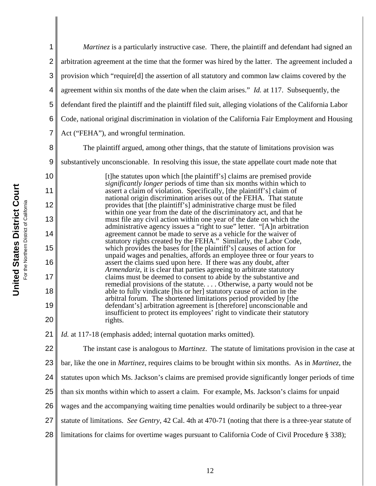| 1              | <i>Martinez</i> is a particularly instructive case. There, the plaintiff and defendant had signed an                                              |
|----------------|---------------------------------------------------------------------------------------------------------------------------------------------------|
| $\overline{2}$ | arbitration agreement at the time that the former was hired by the latter. The agreement included a                                               |
| 3              | provision which "require[d] the assertion of all statutory and common law claims covered by the                                                   |
| 4              | agreement within six months of the date when the claim arises." Id. at 117. Subsequently, the                                                     |
| 5              | defendant fired the plaintiff and the plaintiff filed suit, alleging violations of the California Labor                                           |
| 6              | Code, national original discrimination in violation of the California Fair Employment and Housing                                                 |
| 7              | Act ("FEHA"), and wrongful termination.                                                                                                           |
| 8              | The plaintiff argued, among other things, that the statute of limitations provision was                                                           |
| 9              | substantively unconscionable. In resolving this issue, the state appellate court made note that                                                   |
| 10             | [t] he statutes upon which [the plaintiff's] claims are premised provide<br>significantly longer periods of time than six months within which to  |
| 11             | assert a claim of violation. Specifically, [the plaintiff's] claim of<br>national origin discrimination arises out of the FEHA. That statute      |
| 12             | provides that [the plaintiff's] administrative charge must be filed<br>within one year from the date of the discriminatory act, and that he       |
| 13             | must file any civil action within one year of the date on which the<br>administrative agency issues a "right to sue" letter. "[A]n arbitration    |
| 14             | agreement cannot be made to serve as a vehicle for the waiver of<br>statutory rights created by the FEHA." Similarly, the Labor Code,             |
| 15             | which provides the bases for [the plaintiff's] causes of action for<br>unpaid wages and penalties, affords an employee three or four years to     |
| 16             | assert the claims sued upon here. If there was any doubt, after<br>Armendariz, it is clear that parties agreeing to arbitrate statutory           |
| 17             | claims must be deemed to consent to abide by the substantive and<br>remedial provisions of the statute Otherwise, a party would not be            |
| 18             | able to fully vindicate [his or her] statutory cause of action in the<br>arbitral forum. The shortened limitations period provided by [the        |
| 19             | defendant's] arbitration agreement is [therefore] unconscionable and<br>insufficient to protect its employees' right to vindicate their statutory |
| 20             | rights.                                                                                                                                           |
| 21             | Id. at 117-18 (emphasis added; internal quotation marks omitted).                                                                                 |
| 22             | The instant case is analogous to <i>Martinez</i> . The statute of limitations provision in the case at                                            |
| 23             | bar, like the one in <i>Martinez</i> , requires claims to be brought within six months. As in <i>Martinez</i> , the                               |
| 24             | statutes upon which Ms. Jackson's claims are premised provide significantly longer periods of time                                                |
| 25             | than six months within which to assert a claim. For example, Ms. Jackson's claims for unpaid                                                      |
| 26             | wages and the accompanying waiting time penalties would ordinarily be subject to a three-year                                                     |
| 27             | statute of limitations. See Gentry, 42 Cal. 4th at 470-71 (noting that there is a three-year statute of                                           |
| 28             | limitations for claims for overtime wages pursuant to California Code of Civil Procedure § 338);                                                  |
|                |                                                                                                                                                   |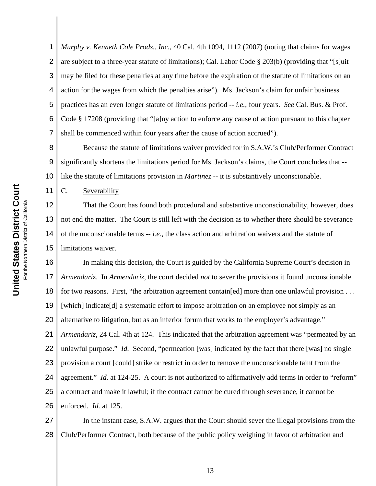1 2 3 4 5 6 7 *Murphy v. Kenneth Cole Prods., Inc.*, 40 Cal. 4th 1094, 1112 (2007) (noting that claims for wages are subject to a three-year statute of limitations); Cal. Labor Code § 203(b) (providing that "[s]uit may be filed for these penalties at any time before the expiration of the statute of limitations on an action for the wages from which the penalties arise"). Ms. Jackson's claim for unfair business practices has an even longer statute of limitations period -- *i.e.*, four years. *See* Cal. Bus. & Prof. Code § 17208 (providing that "[a]ny action to enforce any cause of action pursuant to this chapter shall be commenced within four years after the cause of action accrued").

8 9 10 Because the statute of limitations waiver provided for in S.A.W.'s Club/Performer Contract significantly shortens the limitations period for Ms. Jackson's claims, the Court concludes that - like the statute of limitations provision in *Martinez* -- it is substantively unconscionable.

C. Severability

11

12 13 14 15 That the Court has found both procedural and substantive unconscionability, however, does not end the matter. The Court is still left with the decision as to whether there should be severance of the unconscionable terms -- *i.e.*, the class action and arbitration waivers and the statute of limitations waiver.

16 17 18 19 20 21 22 23 24 25 26 In making this decision, the Court is guided by the California Supreme Court's decision in *Armendariz*. In *Armendariz*, the court decided *not* to sever the provisions it found unconscionable for two reasons. First, "the arbitration agreement contain [ed] more than one unlawful provision . . . [which] indicate[d] a systematic effort to impose arbitration on an employee not simply as an alternative to litigation, but as an inferior forum that works to the employer's advantage." *Armendariz*, 24 Cal. 4th at 124. This indicated that the arbitration agreement was "permeated by an unlawful purpose." *Id.* Second, "permeation [was] indicated by the fact that there [was] no single provision a court [could] strike or restrict in order to remove the unconscionable taint from the agreement." *Id.* at 124-25. A court is not authorized to affirmatively add terms in order to "reform" a contract and make it lawful; if the contract cannot be cured through severance, it cannot be enforced. *Id.* at 125.

27 28 In the instant case, S.A.W. argues that the Court should sever the illegal provisions from the Club/Performer Contract, both because of the public policy weighing in favor of arbitration and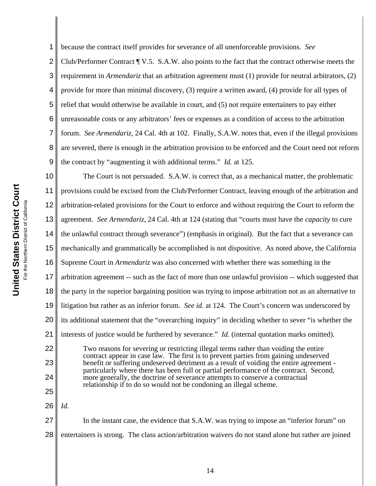1 2 3 4 5 6 7 8 9 because the contract itself provides for severance of all unenforceable provisions. *See* Club/Performer Contract ¶ V.5. S.A.W. also points to the fact that the contract otherwise meets the requirement in *Armendariz* that an arbitration agreement must (1) provide for neutral arbitrators, (2) provide for more than minimal discovery, (3) require a written award, (4) provide for all types of relief that would otherwise be available in court, and (5) not require entertainers to pay either unreasonable costs or any arbitrators' fees or expenses as a condition of access to the arbitration forum. *See Armendariz*, 24 Cal. 4th at 102. Finally, S.A.W. notes that, even if the illegal provisions are severed, there is enough in the arbitration provision to be enforced and the Court need not reform the contract by "augmenting it with additional terms." *Id.* at 125.

10 11 12 13 14 15 16 17 18 19 20 21 22 23 24 25 The Court is not persuaded. S.A.W. is correct that, as a mechanical matter, the problematic provisions could be excised from the Club/Performer Contract, leaving enough of the arbitration and arbitration-related provisions for the Court to enforce and without requiring the Court to reform the agreement. *See Armendariz*, 24 Cal. 4th at 124 (stating that "courts must have the *capacity* to cure the unlawful contract through severance") (emphasis in original). But the fact that a severance can mechanically and grammatically be accomplished is not dispositive. As noted above, the California Supreme Court in *Armendariz* was also concerned with whether there was something in the arbitration agreement -- such as the fact of more than one unlawful provision -- which suggested that the party in the superior bargaining position was trying to impose arbitration not as an alternative to litigation but rather as an inferior forum. *See id.* at 124. The Court's concern was underscored by its additional statement that the "overarching inquiry" in deciding whether to sever "is whether the interests of justice would be furthered by severance." *Id.* (internal quotation marks omitted). Two reasons for severing or restricting illegal terms rather than voiding the entire contract appear in case law. The first is to prevent parties from gaining undeserved benefit or suffering undeserved detriment as a result of voiding the entire agreement particularly where there has been full or partial performance of the contract. Second, more generally, the doctrine of severance attempts to conserve a contractual relationship if to do so would not be condoning an illegal scheme. *Id.*

26

27 28 In the instant case, the evidence that S.A.W. was trying to impose an "inferior forum" on entertainers is strong. The class action/arbitration waivers do not stand alone but rather are joined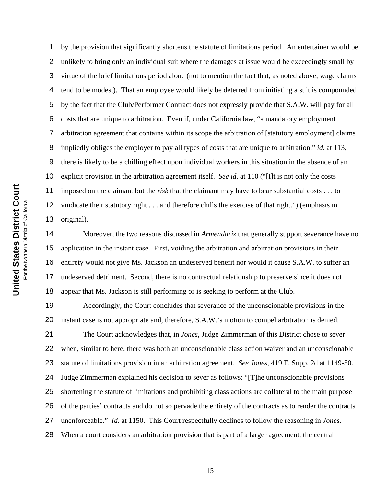1 2 3 4 by the provision that significantly shortens the statute of limitations period. An entertainer would be unlikely to bring only an individual suit where the damages at issue would be exceedingly small by virtue of the brief limitations period alone (not to mention the fact that, as noted above, wage claims tend to be modest). That an employee would likely be deterred from initiating a suit is compounded by the fact that the Club/Performer Contract does not expressly provide that S.A.W. will pay for all costs that are unique to arbitration. Even if, under California law, "a mandatory employment arbitration agreement that contains within its scope the arbitration of [statutory employment] claims impliedly obliges the employer to pay all types of costs that are unique to arbitration," *id.* at 113, there is likely to be a chilling effect upon individual workers in this situation in the absence of an explicit provision in the arbitration agreement itself. *See id.* at 110 ("[I]t is not only the costs imposed on the claimant but the *risk* that the claimant may have to bear substantial costs . . . to vindicate their statutory right . . . and therefore chills the exercise of that right.") (emphasis in original).

18 Moreover, the two reasons discussed in *Armendariz* that generally support severance have no application in the instant case. First, voiding the arbitration and arbitration provisions in their entirety would not give Ms. Jackson an undeserved benefit nor would it cause S.A.W. to suffer an undeserved detriment. Second, there is no contractual relationship to preserve since it does not appear that Ms. Jackson is still performing or is seeking to perform at the Club.

19 20 Accordingly, the Court concludes that severance of the unconscionable provisions in the instant case is not appropriate and, therefore, S.A.W.'s motion to compel arbitration is denied.

21 22 23 24 25 26 27 28 The Court acknowledges that, in *Jones*, Judge Zimmerman of this District chose to sever when, similar to here, there was both an unconscionable class action waiver and an unconscionable statute of limitations provision in an arbitration agreement. *See Jones*, 419 F. Supp. 2d at 1149-50. Judge Zimmerman explained his decision to sever as follows: "[T]he unconscionable provisions shortening the statute of limitations and prohibiting class actions are collateral to the main purpose of the parties' contracts and do not so pervade the entirety of the contracts as to render the contracts unenforceable." *Id.* at 1150. This Court respectfully declines to follow the reasoning in *Jones*. When a court considers an arbitration provision that is part of a larger agreement, the central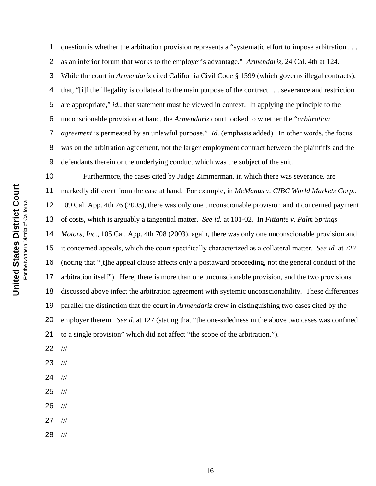1 2 3 4 5 6 7 8 9 question is whether the arbitration provision represents a "systematic effort to impose arbitration . . . as an inferior forum that works to the employer's advantage." *Armendariz*, 24 Cal. 4th at 124. While the court in *Armendariz* cited California Civil Code § 1599 (which governs illegal contracts), that, "[i]f the illegality is collateral to the main purpose of the contract . . . severance and restriction are appropriate," *id.*, that statement must be viewed in context. In applying the principle to the unconscionable provision at hand, the *Armendariz* court looked to whether the "*arbitration agreement* is permeated by an unlawful purpose." *Id.* (emphasis added). In other words, the focus was on the arbitration agreement, not the larger employment contract between the plaintiffs and the defendants therein or the underlying conduct which was the subject of the suit.

10 11 12 13 14 15 16 17 18 19 20 21 Furthermore, the cases cited by Judge Zimmerman, in which there was severance, are markedly different from the case at hand. For example, in *McManus v. CIBC World Markets Corp.*, 109 Cal. App. 4th 76 (2003), there was only one unconscionable provision and it concerned payment of costs, which is arguably a tangential matter. *See id.* at 101-02. In *Fittante v. Palm Springs Motors, Inc.*, 105 Cal. App. 4th 708 (2003), again, there was only one unconscionable provision and it concerned appeals, which the court specifically characterized as a collateral matter. *See id.* at 727 (noting that "[t]he appeal clause affects only a postaward proceeding, not the general conduct of the arbitration itself"). Here, there is more than one unconscionable provision, and the two provisions discussed above infect the arbitration agreement with systemic unconscionability. These differences parallel the distinction that the court in *Armendariz* drew in distinguishing two cases cited by the employer therein. *See d.* at 127 (stating that "the one-sidedness in the above two cases was confined to a single provision" which did not affect "the scope of the arbitration.").

22 ///

- 23 ///
- 24 ///
- 25 ///
- 26 ///
- 27 ///
- 28 ///